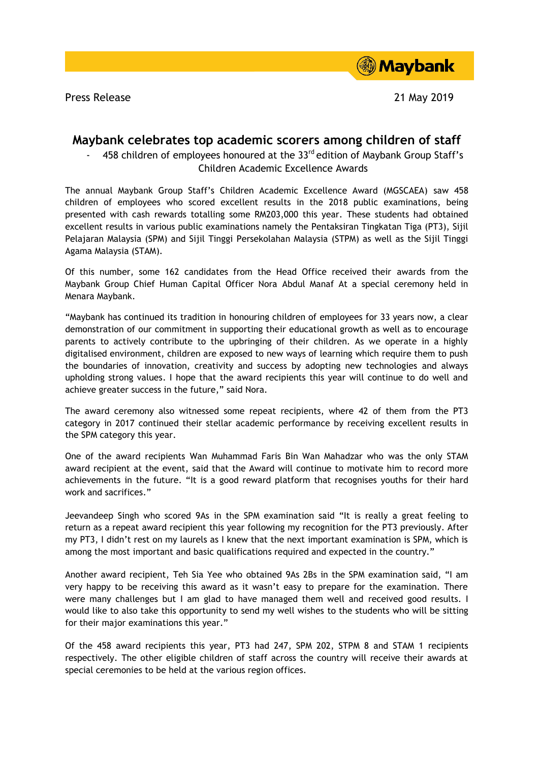Press Release 21 May 2019



## **Maybank celebrates top academic scorers among children of staff**

458 children of employees honoured at the  $33<sup>rd</sup>$  edition of Maybank Group Staff's Children Academic Excellence Awards

The annual Maybank Group Staff's Children Academic Excellence Award (MGSCAEA) saw 458 children of employees who scored excellent results in the 2018 public examinations, being presented with cash rewards totalling some RM203,000 this year. These students had obtained excellent results in various public examinations namely the Pentaksiran Tingkatan Tiga (PT3), Sijil Pelajaran Malaysia (SPM) and Sijil Tinggi Persekolahan Malaysia (STPM) as well as the Sijil Tinggi Agama Malaysia (STAM).

Of this number, some 162 candidates from the Head Office received their awards from the Maybank Group Chief Human Capital Officer Nora Abdul Manaf At a special ceremony held in Menara Maybank.

"Maybank has continued its tradition in honouring children of employees for 33 years now, a clear demonstration of our commitment in supporting their educational growth as well as to encourage parents to actively contribute to the upbringing of their children. As we operate in a highly digitalised environment, children are exposed to new ways of learning which require them to push the boundaries of innovation, creativity and success by adopting new technologies and always upholding strong values. I hope that the award recipients this year will continue to do well and achieve greater success in the future," said Nora.

The award ceremony also witnessed some repeat recipients, where 42 of them from the PT3 category in 2017 continued their stellar academic performance by receiving excellent results in the SPM category this year.

One of the award recipients Wan Muhammad Faris Bin Wan Mahadzar who was the only STAM award recipient at the event, said that the Award will continue to motivate him to record more achievements in the future. "It is a good reward platform that recognises youths for their hard work and sacrifices."

Jeevandeep Singh who scored 9As in the SPM examination said "It is really a great feeling to return as a repeat award recipient this year following my recognition for the PT3 previously. After my PT3, I didn't rest on my laurels as I knew that the next important examination is SPM, which is among the most important and basic qualifications required and expected in the country."

Another award recipient, Teh Sia Yee who obtained 9As 2Bs in the SPM examination said, "I am very happy to be receiving this award as it wasn't easy to prepare for the examination. There were many challenges but I am glad to have managed them well and received good results. I would like to also take this opportunity to send my well wishes to the students who will be sitting for their major examinations this year."

Of the 458 award recipients this year, PT3 had 247, SPM 202, STPM 8 and STAM 1 recipients respectively. The other eligible children of staff across the country will receive their awards at special ceremonies to be held at the various region offices.